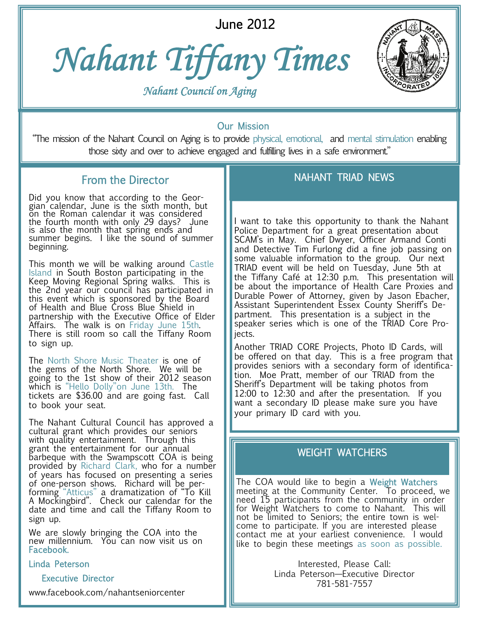June 2012





 *Nahant Council on Aging*

### Our Mission

"The mission of the Nahant Council on Aging is to provide physical, emotional, and mental stimulation enabling those sixty and over to achieve engaged and fulfilling lives in a safe environment."

## From the Director

Did you know that according to the Georgian calendar, June is the sixth month, but on the Roman calendar it was considered the fourth month with only 29 days? June is also the month that spring ends and summer begins. I like the sound of summer beginning.

This month we will be walking around Castle Island in South Boston participating in the Keep Moving Regional Spring walks. This is the 2nd year our council has participated in this event which is sponsored by the Board of Health and Blue Cross Blue Shield in partnership with the Executive Office of Elder Affairs. The walk is on Friday June 15th. There is still room so call the Tiffany Room to sign up.

The North Shore Music Theater is one of the gems of the North Shore. We will be going to the 1st show of their 2012 season which is "Hello Dolly" on June 13th. The tickets are \$36.00 and are going fast. Call to book your seat.

The Nahant Cultural Council has approved a cultural grant which provides our seniors with quality entertainment. Through this grant the entertainment for our annual barbeque with the Swampscott COA is being provided by Richard Clark, who for a number of years has focused on presenting a series of one-person shows. Richard will be performing "Atticus" a dramatization of "To Kill A Mockingbird". Check our calendar for the date and time and call the Tiffany Room to sign up.

We are slowly bringing the COA into the new millennium. You can now visit us on Facebook.

Linda Peterson

### Executive Director

www.facebook.com/nahantseniorcenter

## NAHANT TRIAD NEWS

I want to take this opportunity to thank the Nahant Police Department for a great presentation about SCAM's in May. Chief Dwyer, Officer Armand Conti and Detective Tim Furlong did a fine job passing on some valuable information to the group. Our next TRIAD event will be held on Tuesday, June 5th at the Tiffany Café at 12:30 p.m. This presentation will be about the importance of Health Care Proxies and Durable Power of Attorney, given by Jason Ebacher, Assistant Superintendent Essex County Sheriff's Department. This presentation is a subject in the speaker series which is one of the TRIAD Core Projects.

Another TRIAD CORE Projects, Photo ID Cards, will be offered on that day. This is a free program that provides seniors with a secondary form of identification. Moe Pratt, member of our TRIAD from the Sheriff's Department will be taking photos from 12:00 to 12:30 and after the presentation. If you want a secondary ID please make sure you have your primary ID card with you.

### WEIGHT WATCHERS

The COA would like to begin a Weight Watchers meeting at the Community Center. To proceed, we need 15 participants from the community in order for Weight Watchers to come to Nahant. This will not be limited to Seniors; the entire town is welcome to participate. If you are interested please contact me at your earliest convenience. I would like to begin these meetings as soon as possible.

> Interested, Please Call: Linda Peterson—Executive Director 781-581-7557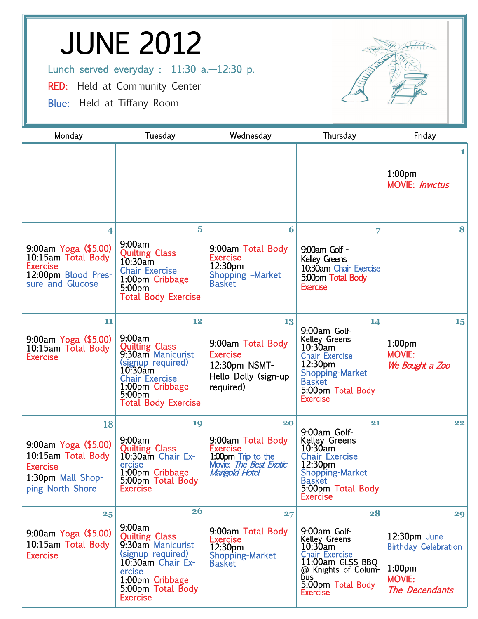# JUNE 2012

Lunch served everyday : 11:30 a.-12:30 p.

RED: Held at Community Center

Blue: Held at Tiffany Room



| Monday                                                                                                        | Tuesday                                                                                                                                                                           | Wednesday                                                                                                   | Thursday                                                                                                                                                                     | Friday                                                                                                     |
|---------------------------------------------------------------------------------------------------------------|-----------------------------------------------------------------------------------------------------------------------------------------------------------------------------------|-------------------------------------------------------------------------------------------------------------|------------------------------------------------------------------------------------------------------------------------------------------------------------------------------|------------------------------------------------------------------------------------------------------------|
|                                                                                                               |                                                                                                                                                                                   |                                                                                                             |                                                                                                                                                                              | 1<br>1:00 <sub>pm</sub><br><b>MOVIE: Invictus</b>                                                          |
| 4<br>9:00am Yoga (\$5.00)<br>10:15am Total Body<br><b>Exercise</b><br>12:00pm Blood Pres-<br>sure and Glucose | $\overline{\mathbf{5}}$<br>9:00am<br><b>Quilting Class</b><br>10:30am<br><b>Chair Exercise</b><br>1:00pm Cribbage<br>5:00pm<br><b>Total Body Exercise</b>                         | 6<br>9:00am Total Body<br><b>Exercise</b><br>12:30pm<br>Shopping -Market<br><b>Basket</b>                   | 7<br>9:00 am Golf -<br><b>Kelley Greens</b><br>10:30am Chair Exercise<br>5:00pm Total Body<br><b>Exercise</b>                                                                | 8                                                                                                          |
| 11<br>9:00am Yoga (\$5.00)<br>10:15am Total Body<br><b>Exercise</b>                                           | 12<br>9:00am<br><b>Quilting Class</b><br>9:30am Manicurist<br>(signup required)<br>10.30am<br><b>Chair Exercise</b><br>1:00pm Cribbage<br>$5:00$ pm<br><b>Total Body Exercise</b> | 13<br>9:00am Total Body<br><b>Exercise</b><br>12:30pm NSMT-<br>Hello Dolly (sign-up<br>required)            | 14<br>9:00am Golf-<br><b>Kelley Greens</b><br>10:30am<br><b>Chair Exercise</b><br>12:30pm<br><b>Shopping-Market</b><br><b>Basket</b><br>5:00pm Total Body<br><b>Exercise</b> | 15<br>1:00 <sub>pm</sub><br><b>MOVIE:</b><br>We Bought a Zoo                                               |
| 18<br>9:00am Yoga (\$5.00)<br>10:15am Total Body<br><b>Exercise</b><br>1:30pm Mall Shop-<br>ping North Shore  | 19<br>9:00am<br><b>Quilting Class</b><br>10:30am Chair Ex-<br>ercise<br>1:00pm Cribbage<br>5:00pm Total Body<br>Exercise                                                          | 20<br>9:00am Total Body<br><b>Exercise</b><br>1.00pm Trip to the<br>Movie: The Best Exotic<br>Mangold Hotel | 21<br>9:00am Golf-<br><b>Kelley Greens</b><br>10:30am<br><b>Chair Exercise</b><br>12:30pm<br>Shopping-Market<br><b>Basket</b><br>5:00pm Total Body<br><b>Exercise</b>        | 22                                                                                                         |
| 25<br>9:00am Yoga (\$5.00)<br>10:15am Total Body<br><b>Exercise</b>                                           | <b>26</b><br>9:00am<br><b>Quilting Class</b><br>9:30am Manicurist<br>(signup required)<br>10:30am Chair Ex-<br>ercise<br>1:00pm Cribbage<br>5:00pm Total Body<br><b>Exercise</b>  | 27<br>9:00am Total Body<br><b>Exercise</b><br>12:30pm<br>Shopping-Market<br><b>Basket</b>                   | 28<br>9:00am Golf-<br><b>Kelley Greens</b><br>10:30am<br><b>Chair Exercise</b><br>11:00am GLSS BBQ<br>@ Knights of Colum-<br>bus<br>5:00pm Total Body<br><b>Exercise</b>     | 29<br>12:30pm June<br><b>Birthday Celebration</b><br>1:00 <sub>pm</sub><br><b>MOVIE:</b><br>The Decendants |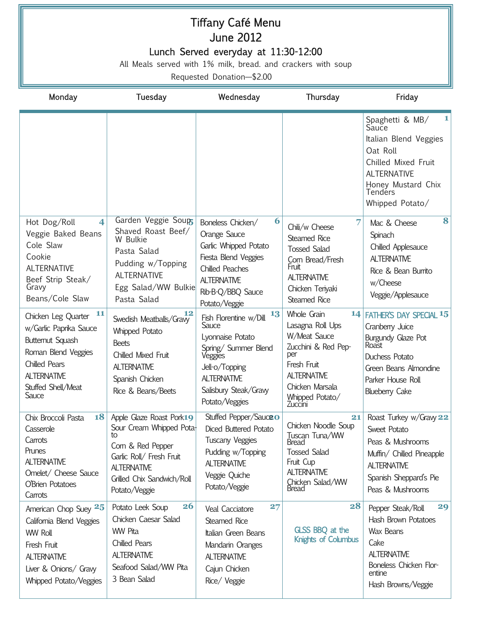## Tiffany Café Menu June 2012 Lunch Served everyday at 11:30-12:00

All Meals served with 1% milk, bread. and crackers with soup

Requested Donation—\$2.00

| Monday                                                                                                                                                                      | Tuesday                                                                                                                                                                    | Wednesday                                                                                                                                                                       | Thursday                                                                                                                                                            | Friday                                                                                                                                                                     |
|-----------------------------------------------------------------------------------------------------------------------------------------------------------------------------|----------------------------------------------------------------------------------------------------------------------------------------------------------------------------|---------------------------------------------------------------------------------------------------------------------------------------------------------------------------------|---------------------------------------------------------------------------------------------------------------------------------------------------------------------|----------------------------------------------------------------------------------------------------------------------------------------------------------------------------|
|                                                                                                                                                                             |                                                                                                                                                                            |                                                                                                                                                                                 |                                                                                                                                                                     | 1<br>Spaghetti & MB/<br>Sauce<br>Italian Blend Veggies<br>Oat Roll<br>Chilled Mixed Fruit<br><b>ALTERNATIVE</b><br>Honey Mustard Chix<br><b>Tenders</b><br>Whipped Potato/ |
| Hot Dog/Roll<br>$\overline{\mathbf{4}}$<br>Veggie Baked Beans<br>Cole Slaw<br>Cookie<br><b>ALTERNATIVE</b><br>Beef Strip Steak/<br>Gravy<br>Beans/Cole Slaw                 | Garden Veggie Soup<br>Shaved Roast Beef/<br>W Bulkie<br>Pasta Salad<br>Pudding w/Topping<br><b>ALTERNATIVE</b><br>Egg Salad/WW Bulkie<br>Pasta Salad                       | 6<br>Boneless Chicken/<br>Orange Sauce<br>Garlic Whipped Potato<br>Fiesta Blend Veggies<br><b>Chilled Peaches</b><br><b>ALTERNATIVE</b><br>Rib-B-Q/BBQ Sauce<br>Potato/Veggie   | 7<br>Chili/w Cheese<br>Steamed Rice<br><b>Tossed Salad</b><br>Com Bread/Fresh<br>Fruit<br><b>ALTERNATIVE</b><br>Chicken Teriyaki<br><b>Steamed Rice</b>             | 8<br>Mac & Cheese<br>Spinach<br>Chilled Applesauce<br><b>ALTERNATIVE</b><br>Rice & Bean Burrito<br>w/Cheese<br>Veggie/Applesauce                                           |
| 11<br>Chicken Leg Quarter<br>w/Garlic Paprika Sauce<br>Butternut Squash<br>Roman Blend Veggies<br><b>Chilled Pears</b><br><b>ALTERNATIVE</b><br>Stuffed Shell/Meat<br>Sauce | 12<br>Swedish Meatballs/Graw<br><b>Whipped Potato</b><br><b>Beets</b><br>Chilled Mixed Fruit<br><b>ALTERNATIVE</b><br>Spanish Chicken<br>Rice & Beans/Beets                | 13<br>Fish Florentine w/Dill<br>Sauce<br>Lyonnaise Potato<br>Spring/ Summer Blend<br>Veggies<br>Jell-o/Topping<br><b>ALTERNATIVE</b><br>Salisbury Steak/Gravy<br>Potato/Veggies | Whole Grain<br>Lasagna Roll Ups<br>W/Meat Sauce<br>Zucchini & Red Pep-<br>per<br>Fresh Fruit<br><b>ALTERNATIVE</b><br>Chicken Marsala<br>Whipped Potato/<br>Zuccini | 14 FATHER'S DAY SPECIAL 15<br>Cranberry Juice<br>Burgundy Glaze Pot<br>Roast<br>Duchess Potato<br>Green Beans Almondine<br>Parker House Roll<br><b>Blueberry Cake</b>      |
| 18<br>Chix Broccoli Pasta<br>Casserole<br>Carrots<br>Prunes<br><b>ALTERNATIVE</b><br>Omelet/ Cheese Sauce<br>O'Brien Potatoes<br>Carrots                                    | Apple Glaze Roast Pork19<br>Sour Cream Whipped Pota-<br>Corn & Red Pepper<br>Garlic Roll/ Fresh Fruit<br><b>ALTERNATIVE</b><br>Grilled Chix Sandwich/Roll<br>Potato/Veggie | Stuffed Pepper/Sauce o<br>Diced Buttered Potato<br><b>Tuscany Veggies</b><br>Pudding w/Topping<br><b>ALTERNATIVE</b><br>Veggie Quiche<br>Potato/Veggie                          | 21<br>Chicken Noodle Soup<br>Tuscan Tuna/WW<br>Bread<br><b>Tossed Salad</b><br>Fruit Cup<br><b>ALTERNATIVE</b><br>Chicken Salad/WW<br>Bread                         | Roast Turkey w/Gravy 22<br>Sweet Potato<br>Peas & Mushrooms<br>Muffin/ Chilled Pineapple<br><b>ALTERNATIVE</b><br>Spanish Sheppard's Pie<br>Peas & Mushrooms               |
| American Chop Suey 25<br>California Blend Veggies<br><b>WW Roll</b><br>Fresh Fruit<br><b>ALTERNATIVE</b><br>Liver & Onions/ Gravy<br>Whipped Potato/Veggies                 | <b>26</b><br>Potato Leek Soup<br>Chicken Caesar Salad<br><b>WW Pita</b><br><b>Chilled Pears</b><br><b>ALTERNATIVE</b><br>Seafood Salad/WW Pita<br>3 Bean Salad             | 27<br>Veal Cacciatore<br>Steamed Rice<br>Italian Green Beans<br>Mandarin Oranges<br><b>ALTERNATIVE</b><br>Cajun Chicken<br>Rice/ Veggie                                         | 28<br>GLSS BBQ at the<br><b>Knights of Columbus</b>                                                                                                                 | 29<br>Pepper Steak/Roll<br>Hash Brown Potatoes<br>Wax Beans<br>Cake<br><b>ALTERNATIVE</b><br>Boneless Chicken Flor-<br>entine<br>Hash Browns/Veggie                        |